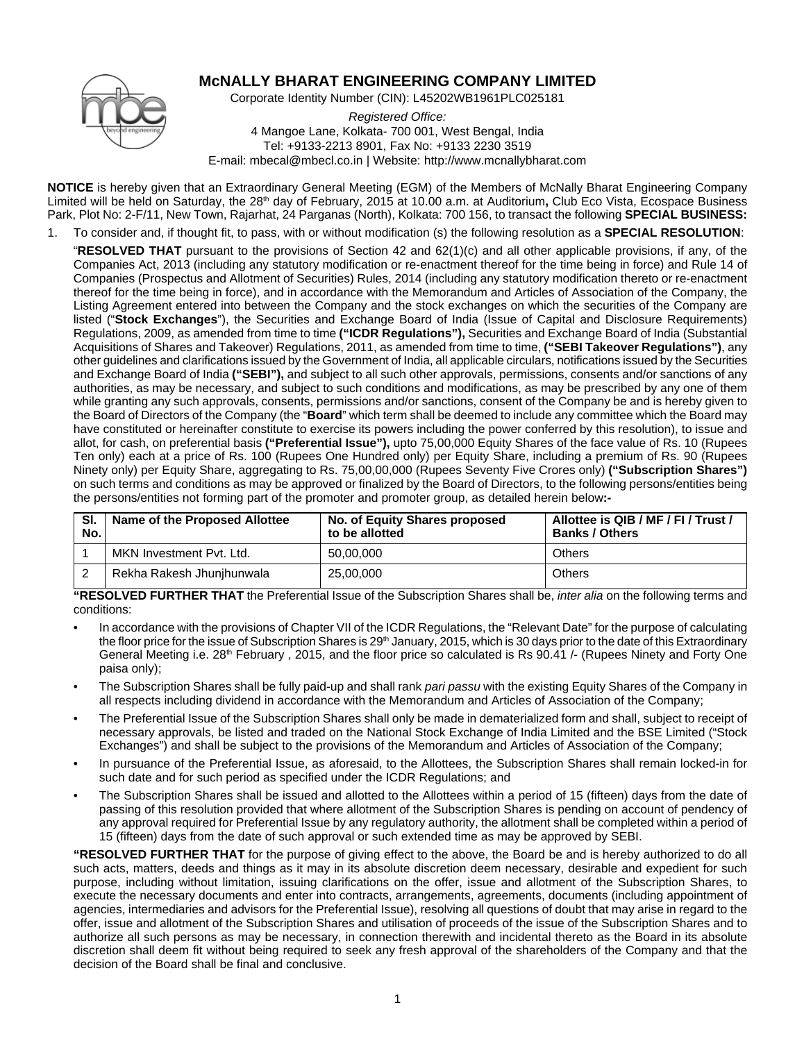

# **McNALLY BHARAT ENGINEERING COMPANY LIMITED**

Corporate Identity Number (CIN): L45202WB1961PLC025181

*Registered Office:* 4 Mangoe Lane, Kolkata- 700 001, West Bengal, India Tel: +9133-2213 8901, Fax No: +9133 2230 3519 E-mail: mbecal@mbecl.co.in | Website: http://www.mcnallybharat.com

**NOTICE** is hereby given that an Extraordinary General Meeting (EGM) of the Members of McNally Bharat Engineering Company Limited will be held on Saturday, the 28<sup>th</sup> day of February, 2015 at 10.00 a.m. at Auditorium, Club Eco Vista, Ecospace Business Park, Plot No: 2-F/11, New Town, Rajarhat, 24 Parganas (North), Kolkata: 700 156, to transact the following **SPECIAL BUSINESS:**

- 1. To consider and, if thought fit, to pass, with or without modification (s) the following resolution as a **SPECIAL RESOLUTION**:
	- "**RESOLVED THAT** pursuant to the provisions of Section 42 and 62(1)(c) and all other applicable provisions, if any, of the Companies Act, 2013 (including any statutory modification or re-enactment thereof for the time being in force) and Rule 14 of Companies (Prospectus and Allotment of Securities) Rules, 2014 (including any statutory modification thereto or re-enactment thereof for the time being in force), and in accordance with the Memorandum and Articles of Association of the Company, the Listing Agreement entered into between the Company and the stock exchanges on which the securities of the Company are listed ("**Stock Exchanges**"), the Securities and Exchange Board of India (Issue of Capital and Disclosure Requirements) Regulations, 2009, as amended from time to time **("ICDR Regulations"),** Securities and Exchange Board of India (Substantial Acquisitions of Shares and Takeover) Regulations, 2011, as amended from time to time, **("SEBI Takeover Regulations")**, any other guidelines and clarifications issued by the Government of India, all applicable circulars, notifications issued by the Securities and Exchange Board of India **("SEBI"),** and subject to all such other approvals, permissions, consents and/or sanctions of any authorities, as may be necessary, and subject to such conditions and modifications, as may be prescribed by any one of them while granting any such approvals, consents, permissions and/or sanctions, consent of the Company be and is hereby given to the Board of Directors of the Company (the "**Board**" which term shall be deemed to include any committee which the Board may have constituted or hereinafter constitute to exercise its powers including the power conferred by this resolution), to issue and allot, for cash, on preferential basis **("Preferential Issue"),** upto 75,00,000 Equity Shares of the face value of Rs. 10 (Rupees Ten only) each at a price of Rs. 100 (Rupees One Hundred only) per Equity Share, including a premium of Rs. 90 (Rupees Ninety only) per Equity Share, aggregating to Rs. 75,00,00,000 (Rupees Seventy Five Crores only) **("Subscription Shares")** on such terms and conditions as may be approved or finalized by the Board of Directors, to the following persons/entities being the persons/entities not forming part of the promoter and promoter group, as detailed herein below**:-**

| SI.<br>No. | Name of the Proposed Allottee | No. of Equity Shares proposed<br>to be allotted | Allottee is QIB / MF / FI / Trust /<br><b>Banks / Others</b> |
|------------|-------------------------------|-------------------------------------------------|--------------------------------------------------------------|
|            | MKN Investment Pvt. Ltd.      | 50.00.000                                       | Others                                                       |
|            | Rekha Rakesh Jhunjhunwala     | 25.00.000                                       | Others                                                       |

**"RESOLVED FURTHER THAT** the Preferential Issue of the Subscription Shares shall be, *inter alia* on the following terms and conditions:

- In accordance with the provisions of Chapter VII of the ICDR Regulations, the "Relevant Date" for the purpose of calculating the floor price for the issue of Subscription Shares is 29<sup>th</sup> January, 2015, which is 30 days prior to the date of this Extraordinary General Meeting i.e. 28<sup>th</sup> February, 2015, and the floor price so calculated is Rs 90.41 /- (Rupees Ninety and Forty One paisa only);
- The Subscription Shares shall be fully paid-up and shall rank *pari passu* with the existing Equity Shares of the Company in all respects including dividend in accordance with the Memorandum and Articles of Association of the Company;
- The Preferential Issue of the Subscription Shares shall only be made in dematerialized form and shall, subject to receipt of necessary approvals, be listed and traded on the National Stock Exchange of India Limited and the BSE Limited ("Stock Exchanges") and shall be subject to the provisions of the Memorandum and Articles of Association of the Company;
- In pursuance of the Preferential Issue, as aforesaid, to the Allottees, the Subscription Shares shall remain locked-in for such date and for such period as specified under the ICDR Regulations; and
- The Subscription Shares shall be issued and allotted to the Allottees within a period of 15 (fifteen) days from the date of passing of this resolution provided that where allotment of the Subscription Shares is pending on account of pendency of any approval required for Preferential Issue by any regulatory authority, the allotment shall be completed within a period of 15 (fifteen) days from the date of such approval or such extended time as may be approved by SEBI.

**"RESOLVED FURTHER THAT** for the purpose of giving effect to the above, the Board be and is hereby authorized to do all such acts, matters, deeds and things as it may in its absolute discretion deem necessary, desirable and expedient for such purpose, including without limitation, issuing clarifications on the offer, issue and allotment of the Subscription Shares, to execute the necessary documents and enter into contracts, arrangements, agreements, documents (including appointment of agencies, intermediaries and advisors for the Preferential Issue), resolving all questions of doubt that may arise in regard to the offer, issue and allotment of the Subscription Shares and utilisation of proceeds of the issue of the Subscription Shares and to authorize all such persons as may be necessary, in connection therewith and incidental thereto as the Board in its absolute discretion shall deem fit without being required to seek any fresh approval of the shareholders of the Company and that the decision of the Board shall be final and conclusive.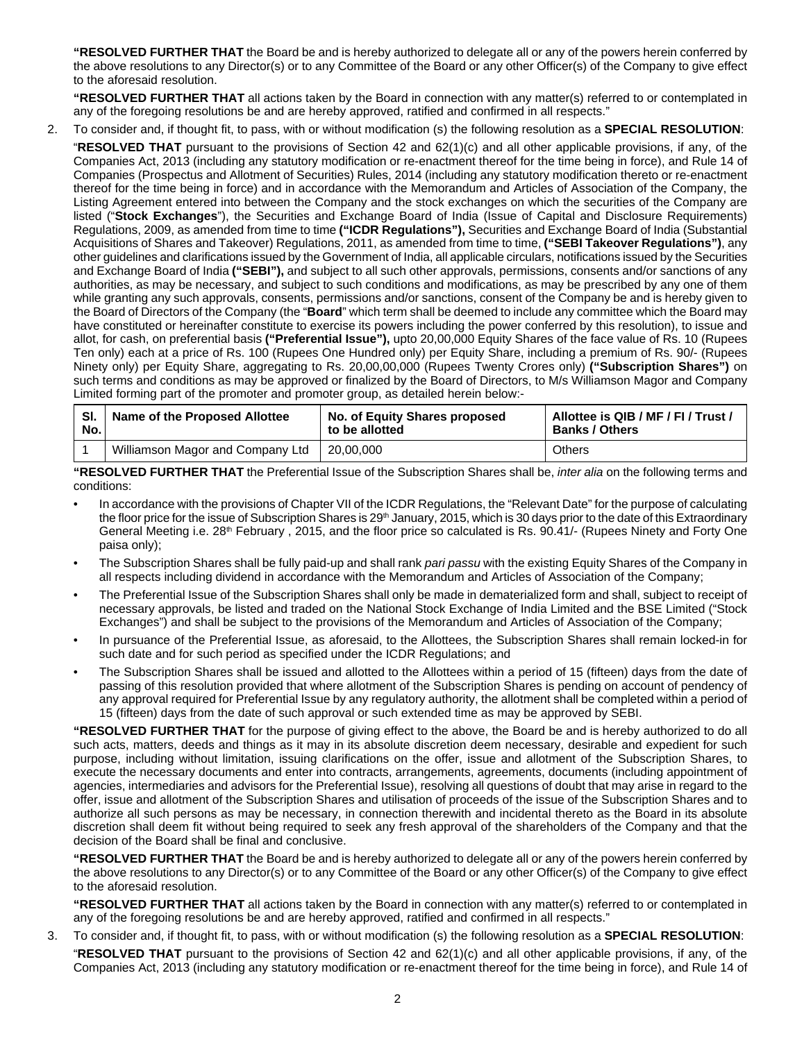**"RESOLVED FURTHER THAT** the Board be and is hereby authorized to delegate all or any of the powers herein conferred by the above resolutions to any Director(s) or to any Committee of the Board or any other Officer(s) of the Company to give effect to the aforesaid resolution.

**"RESOLVED FURTHER THAT** all actions taken by the Board in connection with any matter(s) referred to or contemplated in any of the foregoing resolutions be and are hereby approved, ratified and confirmed in all respects."

2. To consider and, if thought fit, to pass, with or without modification (s) the following resolution as a **SPECIAL RESOLUTION**:

"**RESOLVED THAT** pursuant to the provisions of Section 42 and 62(1)(c) and all other applicable provisions, if any, of the Companies Act, 2013 (including any statutory modification or re-enactment thereof for the time being in force), and Rule 14 of Companies (Prospectus and Allotment of Securities) Rules, 2014 (including any statutory modification thereto or re-enactment thereof for the time being in force) and in accordance with the Memorandum and Articles of Association of the Company, the Listing Agreement entered into between the Company and the stock exchanges on which the securities of the Company are listed ("**Stock Exchanges**"), the Securities and Exchange Board of India (Issue of Capital and Disclosure Requirements) Regulations, 2009, as amended from time to time **("ICDR Regulations"),** Securities and Exchange Board of India (Substantial Acquisitions of Shares and Takeover) Regulations, 2011, as amended from time to time, **("SEBI Takeover Regulations")**, any other guidelines and clarifications issued by the Government of India, all applicable circulars, notifications issued by the Securities and Exchange Board of India **("SEBI"),** and subject to all such other approvals, permissions, consents and/or sanctions of any authorities, as may be necessary, and subject to such conditions and modifications, as may be prescribed by any one of them while granting any such approvals, consents, permissions and/or sanctions, consent of the Company be and is hereby given to the Board of Directors of the Company (the "**Board**" which term shall be deemed to include any committee which the Board may have constituted or hereinafter constitute to exercise its powers including the power conferred by this resolution), to issue and allot, for cash, on preferential basis **("Preferential Issue"),** upto 20,00,000 Equity Shares of the face value of Rs. 10 (Rupees Ten only) each at a price of Rs. 100 (Rupees One Hundred only) per Equity Share, including a premium of Rs. 90/- (Rupees Ninety only) per Equity Share, aggregating to Rs. 20,00,00,000 (Rupees Twenty Crores only) **("Subscription Shares")** on such terms and conditions as may be approved or finalized by the Board of Directors, to M/s Williamson Magor and Company Limited forming part of the promoter and promoter group, as detailed herein below:-

| SI. | Name of the Proposed Allottee    | No. of Equity Shares proposed | Allottee is QIB / MF / FI / Trust / |
|-----|----------------------------------|-------------------------------|-------------------------------------|
| No. |                                  | to be allotted                | <b>Banks / Others</b>               |
|     | Williamson Magor and Company Ltd | 20,00,000                     | Others                              |

**"RESOLVED FURTHER THAT** the Preferential Issue of the Subscription Shares shall be, *inter alia* on the following terms and conditions:

- In accordance with the provisions of Chapter VII of the ICDR Regulations, the "Relevant Date" for the purpose of calculating the floor price for the issue of Subscription Shares is 29<sup>th</sup> January, 2015, which is 30 days prior to the date of this Extraordinary General Meeting i.e. 28<sup>th</sup> February, 2015, and the floor price so calculated is Rs. 90.41/- (Rupees Ninety and Forty One paisa only);
- The Subscription Shares shall be fully paid-up and shall rank *pari passu* with the existing Equity Shares of the Company in all respects including dividend in accordance with the Memorandum and Articles of Association of the Company;
- The Preferential Issue of the Subscription Shares shall only be made in dematerialized form and shall, subject to receipt of necessary approvals, be listed and traded on the National Stock Exchange of India Limited and the BSE Limited ("Stock Exchanges") and shall be subject to the provisions of the Memorandum and Articles of Association of the Company;
- In pursuance of the Preferential Issue, as aforesaid, to the Allottees, the Subscription Shares shall remain locked-in for such date and for such period as specified under the ICDR Regulations; and
- The Subscription Shares shall be issued and allotted to the Allottees within a period of 15 (fifteen) days from the date of passing of this resolution provided that where allotment of the Subscription Shares is pending on account of pendency of any approval required for Preferential Issue by any regulatory authority, the allotment shall be completed within a period of 15 (fifteen) days from the date of such approval or such extended time as may be approved by SEBI.

**"RESOLVED FURTHER THAT** for the purpose of giving effect to the above, the Board be and is hereby authorized to do all such acts, matters, deeds and things as it may in its absolute discretion deem necessary, desirable and expedient for such purpose, including without limitation, issuing clarifications on the offer, issue and allotment of the Subscription Shares, to execute the necessary documents and enter into contracts, arrangements, agreements, documents (including appointment of agencies, intermediaries and advisors for the Preferential Issue), resolving all questions of doubt that may arise in regard to the offer, issue and allotment of the Subscription Shares and utilisation of proceeds of the issue of the Subscription Shares and to authorize all such persons as may be necessary, in connection therewith and incidental thereto as the Board in its absolute discretion shall deem fit without being required to seek any fresh approval of the shareholders of the Company and that the decision of the Board shall be final and conclusive.

**"RESOLVED FURTHER THAT** the Board be and is hereby authorized to delegate all or any of the powers herein conferred by the above resolutions to any Director(s) or to any Committee of the Board or any other Officer(s) of the Company to give effect to the aforesaid resolution.

**"RESOLVED FURTHER THAT** all actions taken by the Board in connection with any matter(s) referred to or contemplated in any of the foregoing resolutions be and are hereby approved, ratified and confirmed in all respects."

- 3. To consider and, if thought fit, to pass, with or without modification (s) the following resolution as a **SPECIAL RESOLUTION**:
	- "**RESOLVED THAT** pursuant to the provisions of Section 42 and 62(1)(c) and all other applicable provisions, if any, of the Companies Act, 2013 (including any statutory modification or re-enactment thereof for the time being in force), and Rule 14 of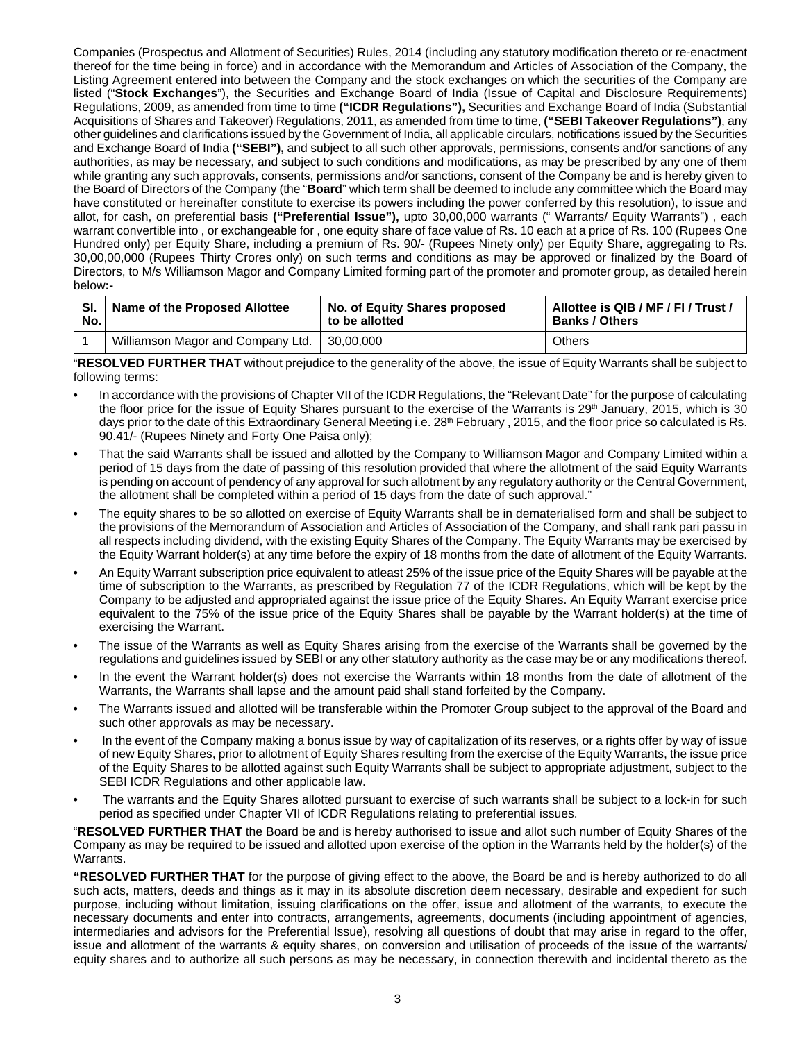Companies (Prospectus and Allotment of Securities) Rules, 2014 (including any statutory modification thereto or re-enactment thereof for the time being in force) and in accordance with the Memorandum and Articles of Association of the Company, the Listing Agreement entered into between the Company and the stock exchanges on which the securities of the Company are listed ("**Stock Exchanges**"), the Securities and Exchange Board of India (Issue of Capital and Disclosure Requirements) Regulations, 2009, as amended from time to time **("ICDR Regulations"),** Securities and Exchange Board of India (Substantial Acquisitions of Shares and Takeover) Regulations, 2011, as amended from time to time, **("SEBI Takeover Regulations")**, any other guidelines and clarifications issued by the Government of India, all applicable circulars, notifications issued by the Securities and Exchange Board of India **("SEBI"),** and subject to all such other approvals, permissions, consents and/or sanctions of any authorities, as may be necessary, and subject to such conditions and modifications, as may be prescribed by any one of them while granting any such approvals, consents, permissions and/or sanctions, consent of the Company be and is hereby given to the Board of Directors of the Company (the "**Board**" which term shall be deemed to include any committee which the Board may have constituted or hereinafter constitute to exercise its powers including the power conferred by this resolution), to issue and allot, for cash, on preferential basis **("Preferential Issue"),** upto 30,00,000 warrants (" Warrants/ Equity Warrants") , each warrant convertible into , or exchangeable for , one equity share of face value of Rs. 10 each at a price of Rs. 100 (Rupees One Hundred only) per Equity Share, including a premium of Rs. 90/- (Rupees Ninety only) per Equity Share, aggregating to Rs. 30,00,00,000 (Rupees Thirty Crores only) on such terms and conditions as may be approved or finalized by the Board of Directors, to M/s Williamson Magor and Company Limited forming part of the promoter and promoter group, as detailed herein below**:-**

| SI. | Name of the Proposed Allottee     | No. of Equity Shares proposed | Allottee is QIB / MF / FI / Trust / |  |
|-----|-----------------------------------|-------------------------------|-------------------------------------|--|
| No. |                                   | to be allotted                | <b>Banks / Others</b>               |  |
|     | Williamson Magor and Company Ltd. | 30.00.000                     | Others                              |  |

"**RESOLVED FURTHER THAT** without prejudice to the generality of the above, the issue of Equity Warrants shall be subject to following terms:

- In accordance with the provisions of Chapter VII of the ICDR Regulations, the "Relevant Date" for the purpose of calculating the floor price for the issue of Equity Shares pursuant to the exercise of the Warrants is 29<sup>th</sup> January, 2015, which is 30 days prior to the date of this Extraordinary General Meeting i.e. 28<sup>th</sup> February, 2015, and the floor price so calculated is Rs. 90.41/- (Rupees Ninety and Forty One Paisa only);
- That the said Warrants shall be issued and allotted by the Company to Williamson Magor and Company Limited within a period of 15 days from the date of passing of this resolution provided that where the allotment of the said Equity Warrants is pending on account of pendency of any approval for such allotment by any regulatory authority or the Central Government, the allotment shall be completed within a period of 15 days from the date of such approval."
- The equity shares to be so allotted on exercise of Equity Warrants shall be in dematerialised form and shall be subject to the provisions of the Memorandum of Association and Articles of Association of the Company, and shall rank pari passu in all respects including dividend, with the existing Equity Shares of the Company. The Equity Warrants may be exercised by the Equity Warrant holder(s) at any time before the expiry of 18 months from the date of allotment of the Equity Warrants.
- An Equity Warrant subscription price equivalent to atleast 25% of the issue price of the Equity Shares will be payable at the time of subscription to the Warrants, as prescribed by Regulation 77 of the ICDR Regulations, which will be kept by the Company to be adjusted and appropriated against the issue price of the Equity Shares. An Equity Warrant exercise price equivalent to the 75% of the issue price of the Equity Shares shall be payable by the Warrant holder(s) at the time of exercising the Warrant.
- The issue of the Warrants as well as Equity Shares arising from the exercise of the Warrants shall be governed by the regulations and guidelines issued by SEBI or any other statutory authority as the case may be or any modifications thereof.
- In the event the Warrant holder(s) does not exercise the Warrants within 18 months from the date of allotment of the Warrants, the Warrants shall lapse and the amount paid shall stand forfeited by the Company.
- The Warrants issued and allotted will be transferable within the Promoter Group subject to the approval of the Board and such other approvals as may be necessary.
- In the event of the Company making a bonus issue by way of capitalization of its reserves, or a rights offer by way of issue of new Equity Shares, prior to allotment of Equity Shares resulting from the exercise of the Equity Warrants, the issue price of the Equity Shares to be allotted against such Equity Warrants shall be subject to appropriate adjustment, subject to the SEBI ICDR Regulations and other applicable law.
- The warrants and the Equity Shares allotted pursuant to exercise of such warrants shall be subject to a lock-in for such period as specified under Chapter VII of ICDR Regulations relating to preferential issues.

"**RESOLVED FURTHER THAT** the Board be and is hereby authorised to issue and allot such number of Equity Shares of the Company as may be required to be issued and allotted upon exercise of the option in the Warrants held by the holder(s) of the Warrants.

**"RESOLVED FURTHER THAT** for the purpose of giving effect to the above, the Board be and is hereby authorized to do all such acts, matters, deeds and things as it may in its absolute discretion deem necessary, desirable and expedient for such purpose, including without limitation, issuing clarifications on the offer, issue and allotment of the warrants, to execute the necessary documents and enter into contracts, arrangements, agreements, documents (including appointment of agencies, intermediaries and advisors for the Preferential Issue), resolving all questions of doubt that may arise in regard to the offer, issue and allotment of the warrants & equity shares, on conversion and utilisation of proceeds of the issue of the warrants/ equity shares and to authorize all such persons as may be necessary, in connection therewith and incidental thereto as the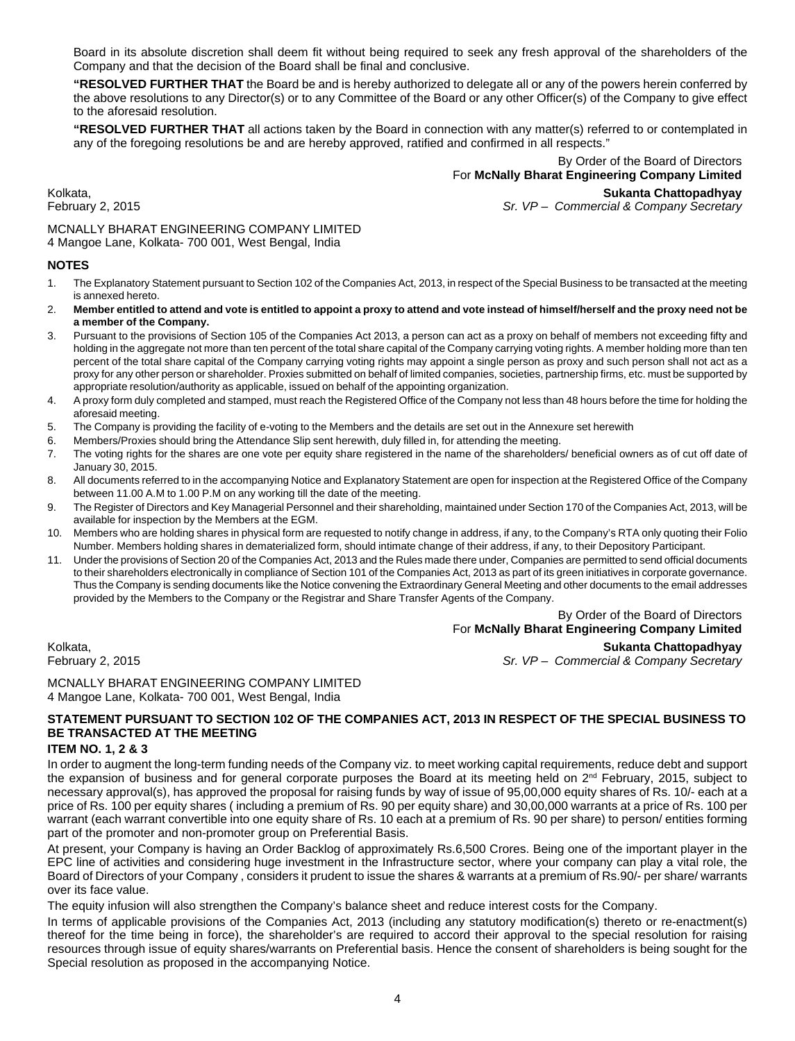Board in its absolute discretion shall deem fit without being required to seek any fresh approval of the shareholders of the Company and that the decision of the Board shall be final and conclusive.

**"RESOLVED FURTHER THAT** the Board be and is hereby authorized to delegate all or any of the powers herein conferred by the above resolutions to any Director(s) or to any Committee of the Board or any other Officer(s) of the Company to give effect to the aforesaid resolution.

**"RESOLVED FURTHER THAT** all actions taken by the Board in connection with any matter(s) referred to or contemplated in any of the foregoing resolutions be and are hereby approved, ratified and confirmed in all respects."

> By Order of the Board of Directors For **McNally Bharat Engineering Company Limited**

Kolkata, **Sukanta Chattopadhyay** Sr. VP - Commercial & Company Secretary

MCNALLY BHARAT ENGINEERING COMPANY LIMITED 4 Mangoe Lane, Kolkata- 700 001, West Bengal, India

#### **NOTES**

- 1. The Explanatory Statement pursuant to Section 102 of the Companies Act, 2013, in respect of the Special Business to be transacted at the meeting is annexed hereto.
- 2. **Member entitled to attend and vote is entitled to appoint a proxy to attend and vote instead of himself/herself and the proxy need not be a member of the Company.**
- 3. Pursuant to the provisions of Section 105 of the Companies Act 2013, a person can act as a proxy on behalf of members not exceeding fifty and holding in the aggregate not more than ten percent of the total share capital of the Company carrying voting rights. A member holding more than ten percent of the total share capital of the Company carrying voting rights may appoint a single person as proxy and such person shall not act as a proxy for any other person or shareholder. Proxies submitted on behalf of limited companies, societies, partnership firms, etc. must be supported by appropriate resolution/authority as applicable, issued on behalf of the appointing organization.
- 4. A proxy form duly completed and stamped, must reach the Registered Office of the Company not less than 48 hours before the time for holding the aforesaid meeting.
- 5. The Company is providing the facility of e-voting to the Members and the details are set out in the Annexure set herewith
- 6. Members/Proxies should bring the Attendance Slip sent herewith, duly filled in, for attending the meeting.
- 7. The voting rights for the shares are one vote per equity share registered in the name of the shareholders/ beneficial owners as of cut off date of January 30, 2015.
- 8. All documents referred to in the accompanying Notice and Explanatory Statement are open for inspection at the Registered Office of the Company between 11.00 A.M to 1.00 P.M on any working till the date of the meeting.
- 9. The Register of Directors and Key Managerial Personnel and their shareholding, maintained under Section 170 of the Companies Act, 2013, will be available for inspection by the Members at the EGM.
- 10. Members who are holding shares in physical form are requested to notify change in address, if any, to the Company's RTA only quoting their Folio Number. Members holding shares in dematerialized form, should intimate change of their address, if any, to their Depository Participant.
- 11. Under the provisions of Section 20 of the Companies Act, 2013 and the Rules made there under, Companies are permitted to send official documents to their shareholders electronically in compliance of Section 101 of the Companies Act, 2013 as part of its green initiatives in corporate governance. Thus the Company is sending documents like the Notice convening the Extraordinary General Meeting and other documents to the email addresses provided by the Members to the Company or the Registrar and Share Transfer Agents of the Company.

By Order of the Board of Directors

For **McNally Bharat Engineering Company Limited**

Kolkata, **Sukanta Chattopadhyay** Sr. VP - Commercial & Company Secretary

MCNALLY BHARAT ENGINEERING COMPANY LIMITED 4 Mangoe Lane, Kolkata- 700 001, West Bengal, India

# **STATEMENT PURSUANT TO SECTION 102 OF THE COMPANIES ACT, 2013 IN RESPECT OF THE SPECIAL BUSINESS TO BE TRANSACTED AT THE MEETING**

#### **ITEM NO. 1, 2 & 3**

In order to augment the long-term funding needs of the Company viz. to meet working capital requirements, reduce debt and support the expansion of business and for general corporate purposes the Board at its meeting held on  $2^{nd}$  February, 2015, subject to necessary approval(s), has approved the proposal for raising funds by way of issue of 95,00,000 equity shares of Rs. 10/- each at a price of Rs. 100 per equity shares ( including a premium of Rs. 90 per equity share) and 30,00,000 warrants at a price of Rs. 100 per warrant (each warrant convertible into one equity share of Rs. 10 each at a premium of Rs. 90 per share) to person/ entities forming part of the promoter and non-promoter group on Preferential Basis.

At present, your Company is having an Order Backlog of approximately Rs.6,500 Crores. Being one of the important player in the EPC line of activities and considering huge investment in the Infrastructure sector, where your company can play a vital role, the Board of Directors of your Company , considers it prudent to issue the shares & warrants at a premium of Rs.90/- per share/ warrants over its face value.

The equity infusion will also strengthen the Company's balance sheet and reduce interest costs for the Company.

In terms of applicable provisions of the Companies Act, 2013 (including any statutory modification(s) thereto or re-enactment(s) thereof for the time being in force), the shareholder's are required to accord their approval to the special resolution for raising resources through issue of equity shares/warrants on Preferential basis. Hence the consent of shareholders is being sought for the Special resolution as proposed in the accompanying Notice.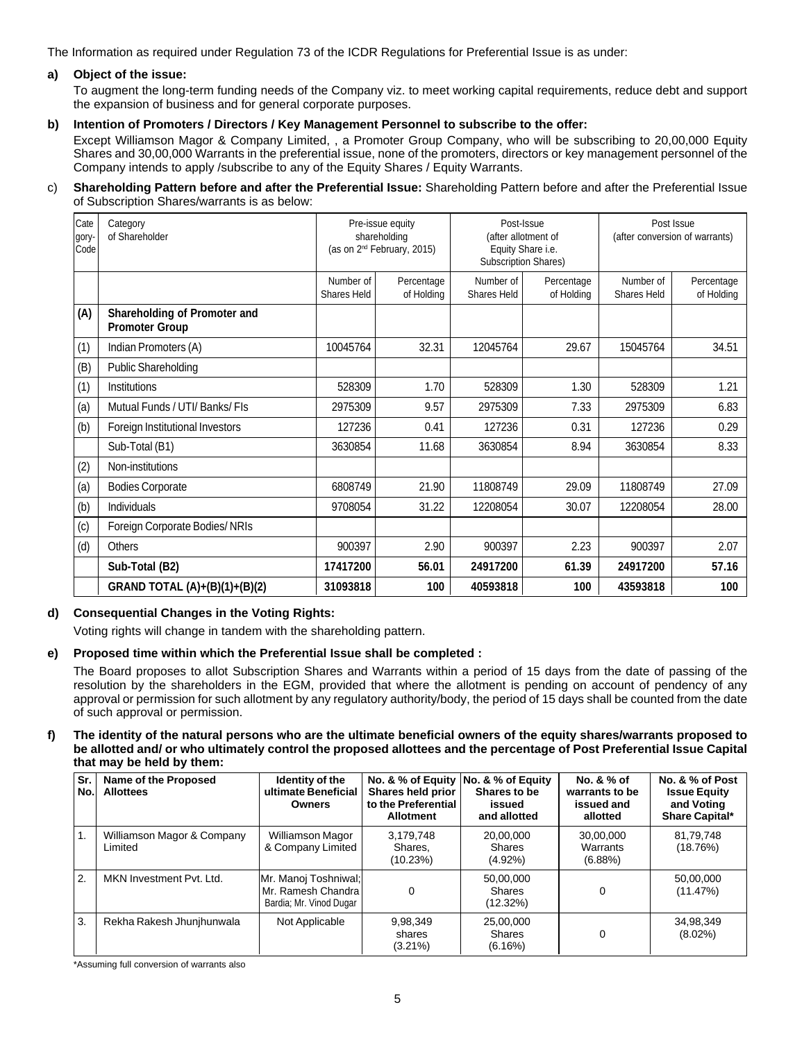The Information as required under Regulation 73 of the ICDR Regulations for Preferential Issue is as under:

# **a) Object of the issue:**

To augment the long-term funding needs of the Company viz. to meet working capital requirements, reduce debt and support the expansion of business and for general corporate purposes.

## **b) Intention of Promoters / Directors / Key Management Personnel to subscribe to the offer:**

Except Williamson Magor & Company Limited, , a Promoter Group Company, who will be subscribing to 20,00,000 Equity Shares and 30,00,000 Warrants in the preferential issue, none of the promoters, directors or key management personnel of the Company intends to apply /subscribe to any of the Equity Shares / Equity Warrants.

#### c) **Shareholding Pattern before and after the Preferential Issue:** Shareholding Pattern before and after the Preferential Issue of Subscription Shares/warrants is as below:

| Cate<br>gory-<br>Code | Category<br>of Shareholder                            |                          | Pre-issue equity<br>shareholding<br>(as on 2 <sup>nd</sup> February, 2015) | Post-Issue<br>(after allotment of<br>Equity Share i.e.<br>Subscription Shares) |       | Post Issue<br>(after conversion of warrants) |                          |
|-----------------------|-------------------------------------------------------|--------------------------|----------------------------------------------------------------------------|--------------------------------------------------------------------------------|-------|----------------------------------------------|--------------------------|
|                       |                                                       | Number of<br>Shares Held | Percentage<br>of Holding                                                   | Number of<br>Percentage<br>Shares Held<br>of Holding                           |       | Number of<br><b>Shares Held</b>              | Percentage<br>of Holding |
| (A)                   | Shareholding of Promoter and<br><b>Promoter Group</b> |                          |                                                                            |                                                                                |       |                                              |                          |
| (1)                   | Indian Promoters (A)                                  | 10045764                 | 32.31                                                                      | 12045764                                                                       | 29.67 | 15045764                                     | 34.51                    |
| (B)                   | <b>Public Shareholding</b>                            |                          |                                                                            |                                                                                |       |                                              |                          |
| (1)                   | Institutions                                          | 528309                   | 1.70                                                                       | 528309                                                                         | 1.30  | 528309                                       | 1.21                     |
| (a)                   | Mutual Funds / UTI/ Banks/ FIs                        | 2975309                  | 9.57                                                                       | 2975309                                                                        | 7.33  | 2975309                                      | 6.83                     |
| (b)                   | Foreign Institutional Investors                       | 127236                   | 0.41                                                                       | 127236                                                                         | 0.31  | 127236                                       | 0.29                     |
|                       | Sub-Total (B1)                                        | 3630854                  | 11.68                                                                      | 3630854                                                                        | 8.94  | 3630854                                      | 8.33                     |
| (2)                   | Non-institutions                                      |                          |                                                                            |                                                                                |       |                                              |                          |
| (a)                   | <b>Bodies Corporate</b>                               | 6808749                  | 21.90                                                                      | 11808749                                                                       | 29.09 | 11808749                                     | 27.09                    |
| (b)                   | Individuals                                           | 9708054                  | 31.22                                                                      | 12208054                                                                       | 30.07 | 12208054                                     | 28.00                    |
| (c)                   | Foreign Corporate Bodies/ NRIs                        |                          |                                                                            |                                                                                |       |                                              |                          |
| (d)                   | <b>Others</b>                                         | 900397                   | 2.90                                                                       | 900397                                                                         | 2.23  | 900397                                       | 2.07                     |
|                       | Sub-Total (B2)                                        | 17417200                 | 56.01                                                                      | 24917200                                                                       | 61.39 | 24917200                                     | 57.16                    |
|                       | GRAND TOTAL (A)+(B)(1)+(B)(2)                         | 31093818                 | 100                                                                        | 40593818                                                                       | 100   | 43593818                                     | 100                      |

# **d) Consequential Changes in the Voting Rights:**

Voting rights will change in tandem with the shareholding pattern.

# **e) Proposed time within which the Preferential Issue shall be completed :**

The Board proposes to allot Subscription Shares and Warrants within a period of 15 days from the date of passing of the resolution by the shareholders in the EGM, provided that where the allotment is pending on account of pendency of any approval or permission for such allotment by any regulatory authority/body, the period of 15 days shall be counted from the date of such approval or permission.

#### **f) The identity of the natural persons who are the ultimate beneficial owners of the equity shares/warrants proposed to be allotted and/ or who ultimately control the proposed allottees and the percentage of Post Preferential Issue Capital that may be held by them:**

| Sr.<br>No. | Name of the Proposed<br><b>Allottees</b> | Identity of the<br>ultimate Beneficial<br><b>Owners</b>               | No. & % of Equity<br>Shares held prior<br>to the Preferential<br><b>Allotment</b> | No. & % of Equity<br>Shares to be<br>issued<br>and allotted | No. & % of<br>warrants to be<br>issued and<br>allotted | No. & % of Post<br><b>Issue Equity</b><br>and Voting<br><b>Share Capital*</b> |
|------------|------------------------------------------|-----------------------------------------------------------------------|-----------------------------------------------------------------------------------|-------------------------------------------------------------|--------------------------------------------------------|-------------------------------------------------------------------------------|
| 1.         | Williamson Magor & Company<br>Limited    | Williamson Magor<br>& Company Limited                                 | 3.179.748<br>Shares,<br>(10.23%)                                                  | 20.00.000<br>Shares<br>$(4.92\%)$                           | 30.00.000<br>Warrants<br>(6.88%)                       | 81.79.748<br>(18.76%)                                                         |
| 2.         | MKN Investment Pvt. Ltd.                 | Mr. Manoj Toshniwal;<br>Mr. Ramesh Chandra<br>Bardia; Mr. Vinod Dugar |                                                                                   | 50.00.000<br>Shares<br>(12.32%)                             | 0                                                      | 50,00,000<br>(11.47%)                                                         |
| 3.         | Rekha Rakesh Jhunjhunwala                | Not Applicable                                                        | 9,98,349<br>shares<br>$(3.21\%)$                                                  | 25.00.000<br>Shares<br>(6.16%)                              | 0                                                      | 34,98,349<br>$(8.02\%)$                                                       |

\*Assuming full conversion of warrants also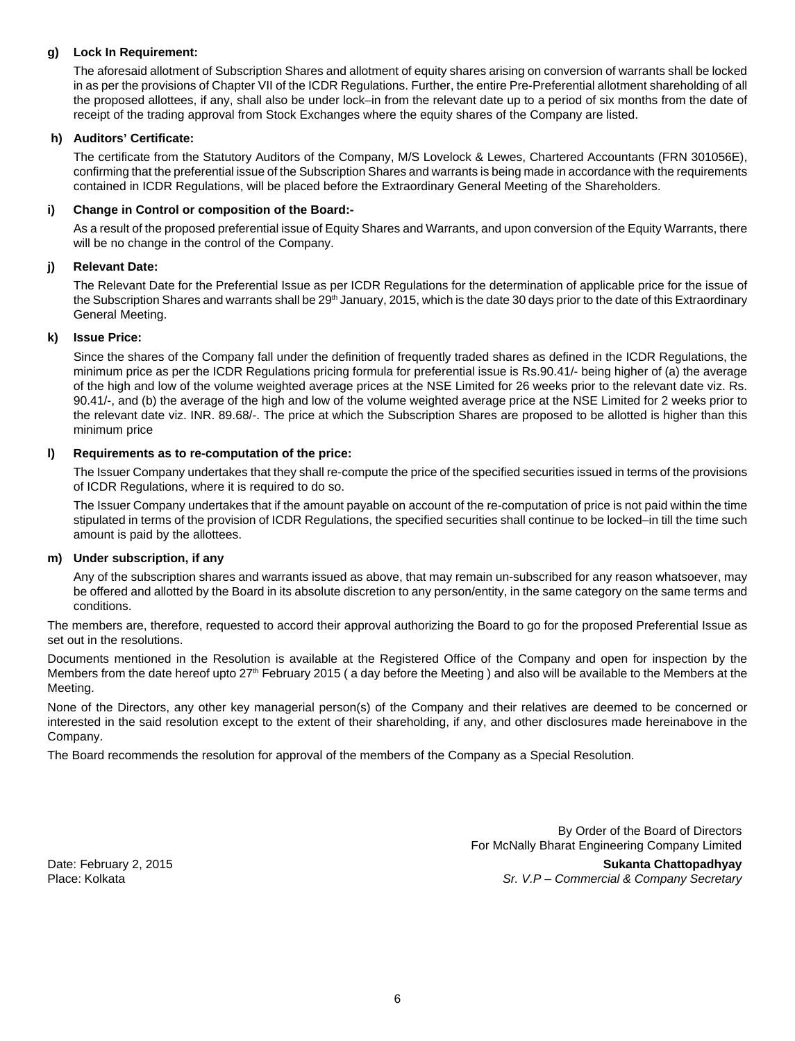#### **g) Lock In Requirement:**

The aforesaid allotment of Subscription Shares and allotment of equity shares arising on conversion of warrants shall be locked in as per the provisions of Chapter VII of the ICDR Regulations. Further, the entire Pre-Preferential allotment shareholding of all the proposed allottees, if any, shall also be under lock–in from the relevant date up to a period of six months from the date of receipt of the trading approval from Stock Exchanges where the equity shares of the Company are listed.

## **h) Auditors' Certificate:**

The certificate from the Statutory Auditors of the Company, M/S Lovelock & Lewes, Chartered Accountants (FRN 301056E), confirming that the preferential issue of the Subscription Shares and warrants is being made in accordance with the requirements contained in ICDR Regulations, will be placed before the Extraordinary General Meeting of the Shareholders.

#### **i) Change in Control or composition of the Board:-**

As a result of the proposed preferential issue of Equity Shares and Warrants, and upon conversion of the Equity Warrants, there will be no change in the control of the Company.

## **j) Relevant Date:**

The Relevant Date for the Preferential Issue as per ICDR Regulations for the determination of applicable price for the issue of the Subscription Shares and warrants shall be 29<sup>th</sup> January, 2015, which is the date 30 days prior to the date of this Extraordinary General Meeting.

#### **k) Issue Price:**

Since the shares of the Company fall under the definition of frequently traded shares as defined in the ICDR Regulations, the minimum price as per the ICDR Regulations pricing formula for preferential issue is Rs.90.41/- being higher of (a) the average of the high and low of the volume weighted average prices at the NSE Limited for 26 weeks prior to the relevant date viz. Rs. 90.41/-, and (b) the average of the high and low of the volume weighted average price at the NSE Limited for 2 weeks prior to the relevant date viz. INR. 89.68/-. The price at which the Subscription Shares are proposed to be allotted is higher than this minimum price

## **l) Requirements as to re-computation of the price:**

The Issuer Company undertakes that they shall re-compute the price of the specified securities issued in terms of the provisions of ICDR Regulations, where it is required to do so.

The Issuer Company undertakes that if the amount payable on account of the re-computation of price is not paid within the time stipulated in terms of the provision of ICDR Regulations, the specified securities shall continue to be locked–in till the time such amount is paid by the allottees.

#### **m) Under subscription, if any**

Any of the subscription shares and warrants issued as above, that may remain un-subscribed for any reason whatsoever, may be offered and allotted by the Board in its absolute discretion to any person/entity, in the same category on the same terms and conditions.

The members are, therefore, requested to accord their approval authorizing the Board to go for the proposed Preferential Issue as set out in the resolutions.

Documents mentioned in the Resolution is available at the Registered Office of the Company and open for inspection by the Members from the date hereof upto 27<sup>th</sup> February 2015 (a day before the Meeting) and also will be available to the Members at the Meeting.

None of the Directors, any other key managerial person(s) of the Company and their relatives are deemed to be concerned or interested in the said resolution except to the extent of their shareholding, if any, and other disclosures made hereinabove in the Company.

The Board recommends the resolution for approval of the members of the Company as a Special Resolution.

By Order of the Board of Directors For McNally Bharat Engineering Company Limited

Date: February 2, 2015 **Sukanta Chattopadhyay** Place: Kolkata *Sr. V.P – Commercial & Company Secretary*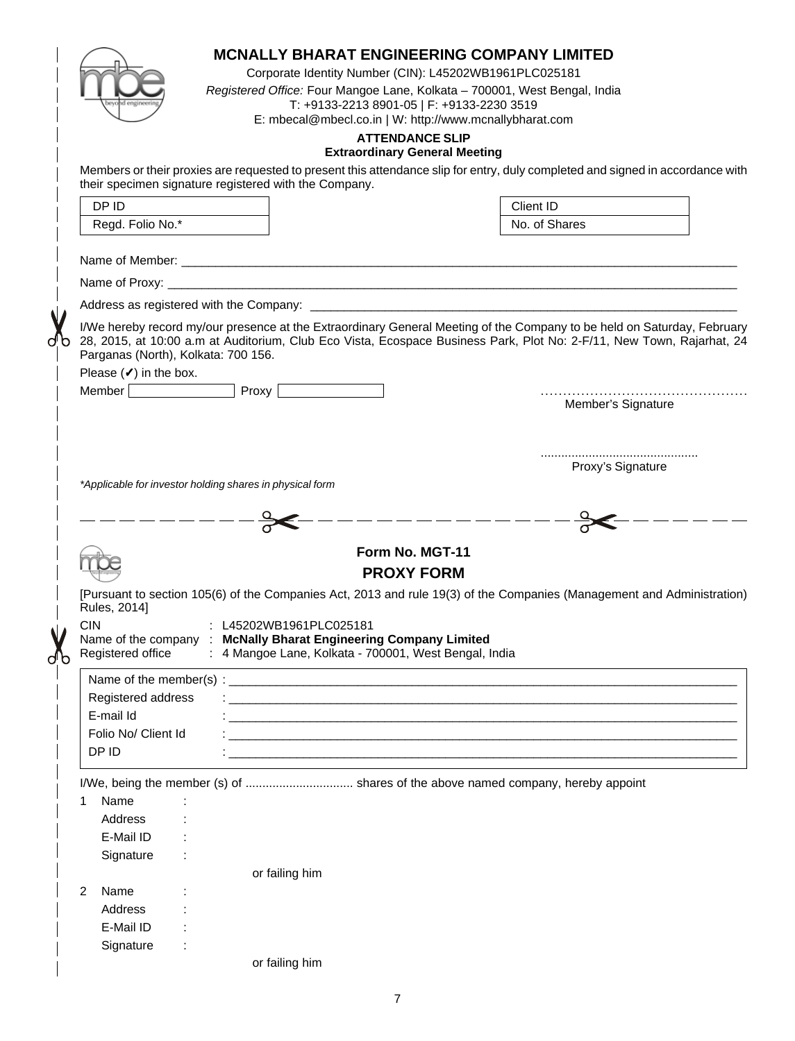|                                                                          |                                                                                             | <b>MCNALLY BHARAT ENGINEERING COMPANY LIMITED</b><br>Corporate Identity Number (CIN): L45202WB1961PLC025181<br>Registered Office: Four Mangoe Lane, Kolkata - 700001, West Bengal, India<br>T: +9133-2213 8901-05   F: +9133-2230 3519<br>E: mbecal@mbecl.co.in   W: http://www.mcnallybharat.com<br><b>ATTENDANCE SLIP</b> |  |  |  |  |
|--------------------------------------------------------------------------|---------------------------------------------------------------------------------------------|-----------------------------------------------------------------------------------------------------------------------------------------------------------------------------------------------------------------------------------------------------------------------------------------------------------------------------|--|--|--|--|
|                                                                          |                                                                                             | <b>Extraordinary General Meeting</b>                                                                                                                                                                                                                                                                                        |  |  |  |  |
|                                                                          | their specimen signature registered with the Company.                                       | Members or their proxies are requested to present this attendance slip for entry, duly completed and signed in accordance with                                                                                                                                                                                              |  |  |  |  |
| DP ID                                                                    |                                                                                             | Client ID                                                                                                                                                                                                                                                                                                                   |  |  |  |  |
| Regd. Folio No.*                                                         |                                                                                             | No. of Shares                                                                                                                                                                                                                                                                                                               |  |  |  |  |
|                                                                          |                                                                                             |                                                                                                                                                                                                                                                                                                                             |  |  |  |  |
|                                                                          |                                                                                             |                                                                                                                                                                                                                                                                                                                             |  |  |  |  |
|                                                                          |                                                                                             |                                                                                                                                                                                                                                                                                                                             |  |  |  |  |
| Parganas (North), Kolkata: 700 156.<br>Please $(\checkmark)$ in the box. | Member Proxy                                                                                | I/We hereby record my/our presence at the Extraordinary General Meeting of the Company to be held on Saturday, February<br>28, 2015, at 10:00 a.m at Auditorium, Club Eco Vista, Ecospace Business Park, Plot No: 2-F/11, New Town, Rajarhat, 24                                                                            |  |  |  |  |
|                                                                          |                                                                                             | Member's Signature                                                                                                                                                                                                                                                                                                          |  |  |  |  |
|                                                                          | *Applicable for investor holding shares in physical form                                    | Proxy's Signature                                                                                                                                                                                                                                                                                                           |  |  |  |  |
|                                                                          |                                                                                             |                                                                                                                                                                                                                                                                                                                             |  |  |  |  |
|                                                                          |                                                                                             | Form No. MGT-11                                                                                                                                                                                                                                                                                                             |  |  |  |  |
|                                                                          |                                                                                             | <b>PROXY FORM</b>                                                                                                                                                                                                                                                                                                           |  |  |  |  |
|                                                                          |                                                                                             |                                                                                                                                                                                                                                                                                                                             |  |  |  |  |
| Rules, 2014]<br><b>CIN</b>                                               | : L45202WB1961PLC025181<br>Name of the company : McNally Bharat Engineering Company Limited | [Pursuant to section 105(6) of the Companies Act, 2013 and rule 19(3) of the Companies (Management and Administration)                                                                                                                                                                                                      |  |  |  |  |
| Registered office                                                        | : 4 Mangoe Lane, Kolkata - 700001, West Bengal, India                                       |                                                                                                                                                                                                                                                                                                                             |  |  |  |  |
|                                                                          |                                                                                             |                                                                                                                                                                                                                                                                                                                             |  |  |  |  |
| Registered address                                                       |                                                                                             |                                                                                                                                                                                                                                                                                                                             |  |  |  |  |
| E-mail Id                                                                |                                                                                             |                                                                                                                                                                                                                                                                                                                             |  |  |  |  |
| Folio No/ Client Id                                                      |                                                                                             |                                                                                                                                                                                                                                                                                                                             |  |  |  |  |
| DP ID                                                                    |                                                                                             |                                                                                                                                                                                                                                                                                                                             |  |  |  |  |
|                                                                          |                                                                                             | I/We, being the member (s) of  shares of the above named company, hereby appoint                                                                                                                                                                                                                                            |  |  |  |  |
| Name<br>1                                                                |                                                                                             |                                                                                                                                                                                                                                                                                                                             |  |  |  |  |
| Address                                                                  |                                                                                             |                                                                                                                                                                                                                                                                                                                             |  |  |  |  |
| E-Mail ID                                                                |                                                                                             |                                                                                                                                                                                                                                                                                                                             |  |  |  |  |
| Signature                                                                |                                                                                             |                                                                                                                                                                                                                                                                                                                             |  |  |  |  |
|                                                                          | or failing him                                                                              |                                                                                                                                                                                                                                                                                                                             |  |  |  |  |
| Name<br>2                                                                |                                                                                             |                                                                                                                                                                                                                                                                                                                             |  |  |  |  |
| Address                                                                  |                                                                                             |                                                                                                                                                                                                                                                                                                                             |  |  |  |  |
| E-Mail ID                                                                |                                                                                             |                                                                                                                                                                                                                                                                                                                             |  |  |  |  |
| Signature                                                                | or failing him                                                                              |                                                                                                                                                                                                                                                                                                                             |  |  |  |  |